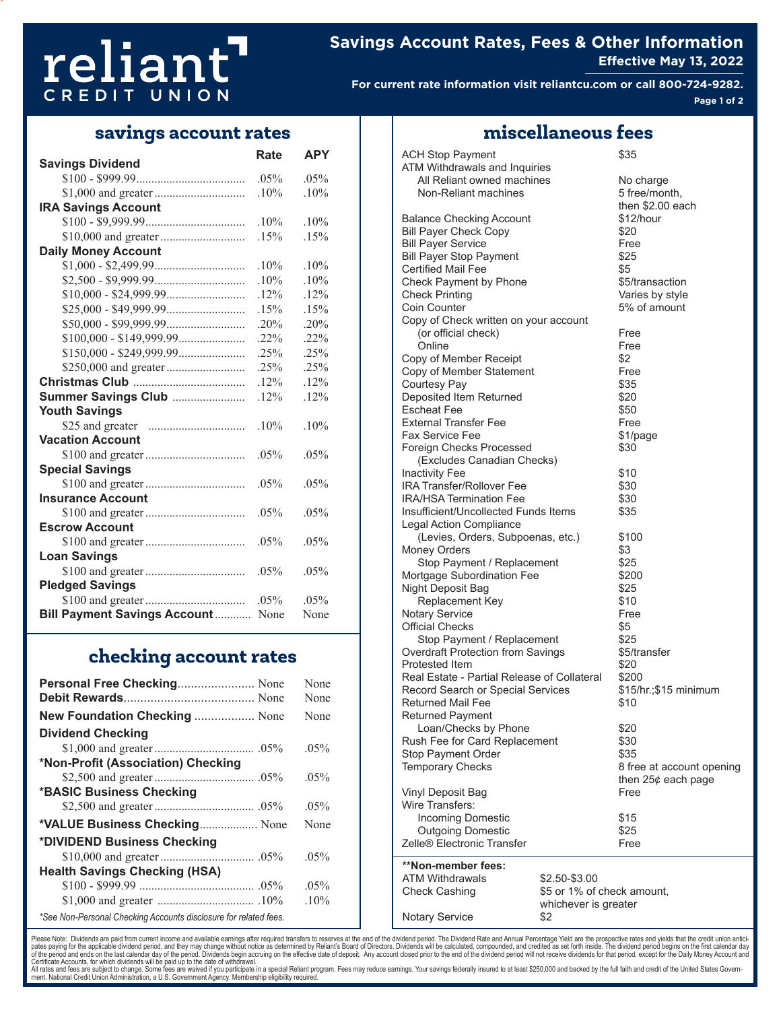# reliant CREDIT UNION

# **Savings Account Rates, Fees & Other Information Effective May 13, 2022**

**For current rate information visit reliantcu.com or call 800-724-9282. Page 1 of 2**

# **savings account rates miscellaneous fees**

|                                      | <b>Rate</b> | <b>APY</b> |  |  |
|--------------------------------------|-------------|------------|--|--|
| <b>Savings Dividend</b>              |             |            |  |  |
|                                      | .05%        | .05%       |  |  |
|                                      | .10%        | .10%       |  |  |
| <b>IRA Savings Account</b>           |             |            |  |  |
|                                      | $.10\%$     | .10%       |  |  |
|                                      | .15%        | .15%       |  |  |
| <b>Daily Money Account</b>           |             |            |  |  |
|                                      | $.10\%$     | .10%       |  |  |
|                                      | .10%        | .10%       |  |  |
|                                      | $.12\%$     | .12%       |  |  |
|                                      | .15%        | .15%       |  |  |
|                                      | $.20\%$     | .20%       |  |  |
|                                      | $.22\%$     | .22%       |  |  |
|                                      | .25%        | .25%       |  |  |
|                                      | .25%        | .25%       |  |  |
|                                      | .12%        | .12%       |  |  |
| Summer Savings Club                  | .12%        | .12%       |  |  |
| <b>Youth Savings</b>                 |             |            |  |  |
|                                      | .10%        | .10%       |  |  |
| <b>Vacation Account</b>              |             |            |  |  |
|                                      | $.05\%$     | $.05\%$    |  |  |
| <b>Special Savings</b>               |             |            |  |  |
|                                      | $.05\%$     | .05%       |  |  |
| <b>Insurance Account</b>             |             |            |  |  |
|                                      | $.05\%$     | .05%       |  |  |
| <b>Escrow Account</b>                |             |            |  |  |
|                                      | .05%        | .05%       |  |  |
| <b>Loan Savings</b>                  |             |            |  |  |
|                                      | $.05\%$     | $.05\%$    |  |  |
| <b>Pledged Savings</b>               |             |            |  |  |
|                                      | $.05\%$     | $.05\%$    |  |  |
| <b>Bill Payment Savings Account </b> | None        | None       |  |  |

# **checking account rates**

| Personal Free Checking None                                      | None    |
|------------------------------------------------------------------|---------|
|                                                                  | None    |
| New Foundation Checking  None                                    | None    |
| <b>Dividend Checking</b>                                         |         |
|                                                                  | $.05\%$ |
| *Non-Profit (Association) Checking                               |         |
|                                                                  | $.05\%$ |
| *BASIC Business Checking                                         |         |
|                                                                  | $.05\%$ |
| *VALUE Business Checking None                                    | None    |
| *DIVIDEND Business Checking                                      |         |
|                                                                  | $.05\%$ |
| <b>Health Savings Checking (HSA)</b>                             |         |
|                                                                  | $.05\%$ |
|                                                                  | .10%    |
| *See Non-Personal Checking Accounts disclosure for related fees. |         |

| <b>ACH Stop Payment</b><br>ATM Withdrawals and Inquiries |                            | \$35                      |
|----------------------------------------------------------|----------------------------|---------------------------|
| All Reliant owned machines                               |                            | No charge                 |
| Non-Reliant machines                                     |                            | 5 free/month,             |
|                                                          |                            | then \$2.00 each          |
| <b>Balance Checking Account</b>                          |                            | \$12/hour                 |
| <b>Bill Payer Check Copy</b>                             |                            | \$20                      |
|                                                          |                            |                           |
| <b>Bill Payer Service</b>                                |                            | Free                      |
| <b>Bill Payer Stop Payment</b>                           |                            | \$25                      |
| <b>Certified Mail Fee</b>                                |                            | \$5                       |
| Check Payment by Phone                                   |                            | \$5/transaction           |
| <b>Check Printing</b>                                    |                            | Varies by style           |
| Coin Counter                                             |                            | 5% of amount              |
| Copy of Check written on your account                    |                            |                           |
| (or official check)                                      |                            | Free                      |
| Online                                                   |                            | Free                      |
| Copy of Member Receipt                                   |                            | \$2                       |
| Copy of Member Statement                                 |                            | Free                      |
| <b>Courtesy Pay</b>                                      |                            | \$35                      |
| Deposited Item Returned                                  |                            | \$20                      |
| <b>Escheat Fee</b>                                       |                            | \$50                      |
| <b>External Transfer Fee</b>                             |                            | Free                      |
| <b>Fax Service Fee</b>                                   |                            | \$1/page                  |
| Foreign Checks Processed                                 |                            | \$30                      |
| (Excludes Canadian Checks)                               |                            |                           |
| <b>Inactivity Fee</b>                                    |                            | \$10                      |
| <b>IRA Transfer/Rollover Fee</b>                         |                            | \$30                      |
| <b>IRA/HSA Termination Fee</b>                           |                            | \$30                      |
| Insufficient/Uncollected Funds Items                     |                            | \$35                      |
| <b>Legal Action Compliance</b>                           |                            |                           |
|                                                          |                            |                           |
| (Levies, Orders, Subpoenas, etc.)                        |                            | \$100                     |
| <b>Money Orders</b>                                      |                            | \$3                       |
| Stop Payment / Replacement                               |                            | \$25                      |
| Mortgage Subordination Fee                               |                            | \$200                     |
| Night Deposit Bag                                        |                            | \$25                      |
| Replacement Key                                          |                            | \$10                      |
| <b>Notary Service</b>                                    |                            | Free                      |
| <b>Official Checks</b>                                   |                            | \$5                       |
| Stop Payment / Replacement                               |                            | \$25                      |
| <b>Overdraft Protection from Savings</b>                 |                            | \$5/transfer              |
| Protested Item                                           |                            | \$20                      |
| Real Estate - Partial Release of Collateral              |                            | \$200                     |
| Record Search or Special Services                        |                            | \$15/hr.; \$15 minimum    |
| <b>Returned Mail Fee</b>                                 |                            | \$10                      |
| <b>Returned Payment</b>                                  |                            |                           |
| Loan/Checks by Phone                                     |                            | \$20                      |
| Rush Fee for Card Replacement                            |                            | \$30                      |
| <b>Stop Payment Order</b>                                |                            | \$35                      |
| <b>Temporary Checks</b>                                  |                            | 8 free at account opening |
|                                                          |                            | then $25¢$ each page      |
| Vinyl Deposit Bag                                        |                            | Free                      |
| Wire Transfers:                                          |                            |                           |
| <b>Incoming Domestic</b>                                 |                            | \$15                      |
|                                                          |                            | \$25                      |
| <b>Outgoing Domestic</b><br>Zelle® Electronic Transfer   |                            | Free                      |
|                                                          |                            |                           |
| **Non-member fees:                                       |                            |                           |
| <b>ATM Withdrawals</b>                                   | \$2.50-\$3.00              |                           |
| <b>Check Cashing</b>                                     | \$5 or 1% of check amount, |                           |
|                                                          | whichever is greater       |                           |
| <b>Notary Service</b>                                    | \$2                        |                           |

Please Note: Dividends are paid from current income and available earnings after required transfers to reserves at the end of the dividend period. The Dividend Rate and Annual Percentage Yield are the prospective rates and